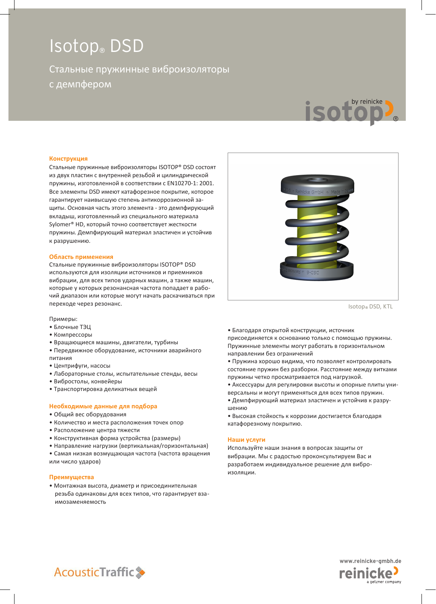Стальные пружинные виброизоляторы с демпфером



## **Конструкция**

Стальные пружинные виброизоляторы ISOTOP® DSD состоят из двух пластин с внутренней резьбой и цилиндрической пружины, изготовленной в соответствии с EN10270-1: 2001. Все элементы DSD имеют катафорезное покрытие, которое гарантирует наивысшую степень антикоррозионной защиты. Основная часть этого элемента - это демпфирующий вкладыш, изготовленный из специального материала Sylomer® HD, который точно соответствует жесткости пружины. Демпфирующий материал эластичен и устойчив к разрушению.

### **Область применения**

Стальные пружинные виброизоляторы ISOTOP® DSD используются для изоляции источников и приемников вибрации, для всех типов ударных машин, а также машин, которые у которых резонансная частота попадает в рабочий диапазон или которые могут начать раскачиваться при переходе через резонанс.

### Примеры:

- Блочные ТЭЦ
- Компрессоры
- Вращающиеся машины, двигатели, турбины
- Передвижное оборудование, источники аварийного питания
- Центрифуги, насосы
- Лабораторные столы, испытательные стенды, весы
- Вибростолы, конвейеры
- Транспортировка деликатных вещей

## **Необходимые данные для подбора**

- Общий вес оборудования
- Количество и места расположения точек опор
- Расположение центра тяжести
- Конструктивная форма устройства (размеры)
- Направление нагрузки (вертикальная/горизонтальная)
- Самая низкая возмущающая частота (частота вращения или число ударов)

## **Преимущества**

• Монтажная высота, диаметр и присоединительная резьба одинаковы для всех типов, что гарантирует взаимозаменяемость

- Благодаря открытой конструкции, источник
- присоединяется к основанию только с помощью пружины. Пружинные элементы могут работать в горизонтальном направлении без ограничений
- Пружина хорошо видима, что позволяет контролировать состояние пружин без разборки. Расстояние между витками пружины четко просматривается под нагрузкой.
- Аксессуары для регулировки высоты и опорные плиты универсальны и могут применяться для всех типов пружин.
- Демпфирующий материал эластичен и устойчив к разрушению
- Высокая стойкость к коррозии достигается благодаря катафорезному покрытию.

## **Наши услуги**

Используйте наши знания в вопросах защиты от вибрации. Мы с радостью проконсультируем Вас и разработаем индивидуальное решение для виброизоляции.





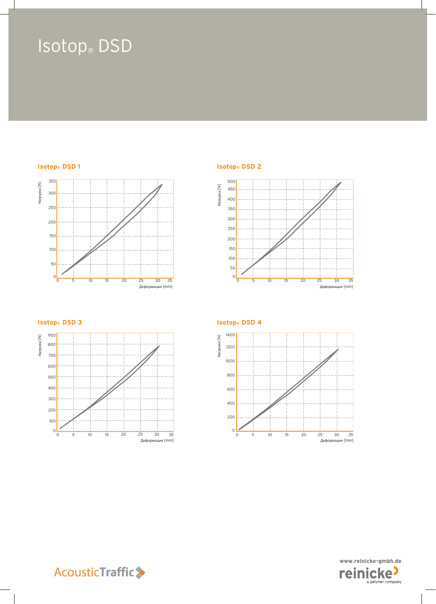## **Isotop® DSD 1 Isotop® DSD 2**











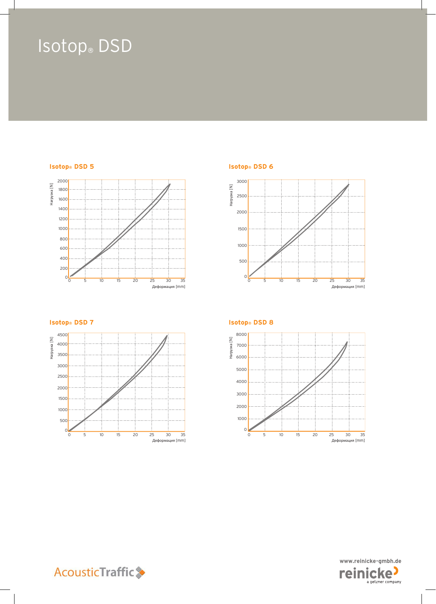## **Isotop® DSD 5 Isotop® DSD 6**